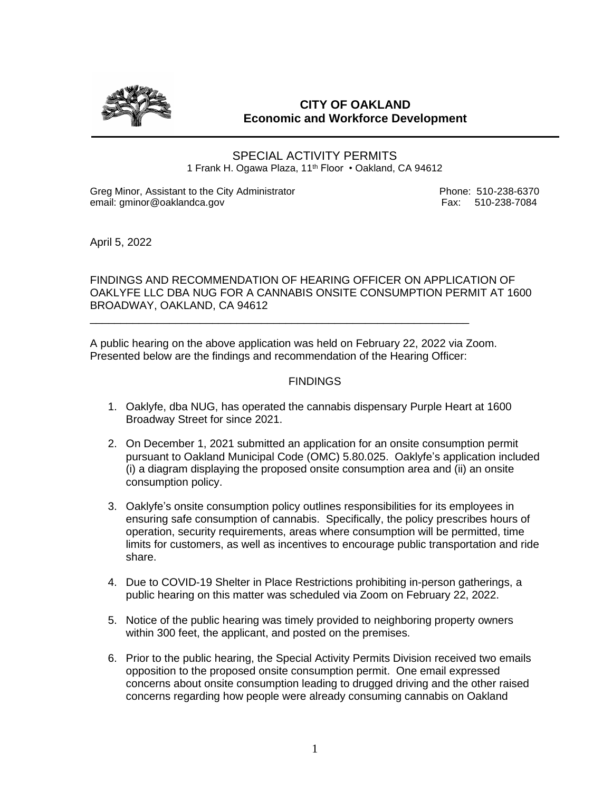

## **CITY OF OAKLAND Economic and Workforce Development**

SPECIAL ACTIVITY PERMITS 1 Frank H. Ogawa Plaza, 11<sup>th</sup> Floor • Oakland, CA 94612

Greg Minor, Assistant to the City Administrator entity and the Communistrator Phone: 510-238-6370<br>
email: aminor@oaklandca.gov email: gminor@oaklandca.gov

April 5, 2022

FINDINGS AND RECOMMENDATION OF HEARING OFFICER ON APPLICATION OF OAKLYFE LLC DBA NUG FOR A CANNABIS ONSITE CONSUMPTION PERMIT AT 1600 BROADWAY, OAKLAND, CA 94612

A public hearing on the above application was held on February 22, 2022 via Zoom. Presented below are the findings and recommendation of the Hearing Officer:

\_\_\_\_\_\_\_\_\_\_\_\_\_\_\_\_\_\_\_\_\_\_\_\_\_\_\_\_\_\_\_\_\_\_\_\_\_\_\_\_\_\_\_\_\_\_\_\_\_\_\_\_\_\_\_\_\_\_\_\_\_\_

## **FINDINGS**

- 1. Oaklyfe, dba NUG, has operated the cannabis dispensary Purple Heart at 1600 Broadway Street for since 2021.
- 2. On December 1, 2021 submitted an application for an onsite consumption permit pursuant to Oakland Municipal Code (OMC) 5.80.025. Oaklyfe's application included (i) a diagram displaying the proposed onsite consumption area and (ii) an onsite consumption policy.
- 3. Oaklyfe's onsite consumption policy outlines responsibilities for its employees in ensuring safe consumption of cannabis. Specifically, the policy prescribes hours of operation, security requirements, areas where consumption will be permitted, time limits for customers, as well as incentives to encourage public transportation and ride share.
- 4. Due to COVID-19 Shelter in Place Restrictions prohibiting in-person gatherings, a public hearing on this matter was scheduled via Zoom on February 22, 2022.
- 5. Notice of the public hearing was timely provided to neighboring property owners within 300 feet, the applicant, and posted on the premises.
- 6. Prior to the public hearing, the Special Activity Permits Division received two emails opposition to the proposed onsite consumption permit. One email expressed concerns about onsite consumption leading to drugged driving and the other raised concerns regarding how people were already consuming cannabis on Oakland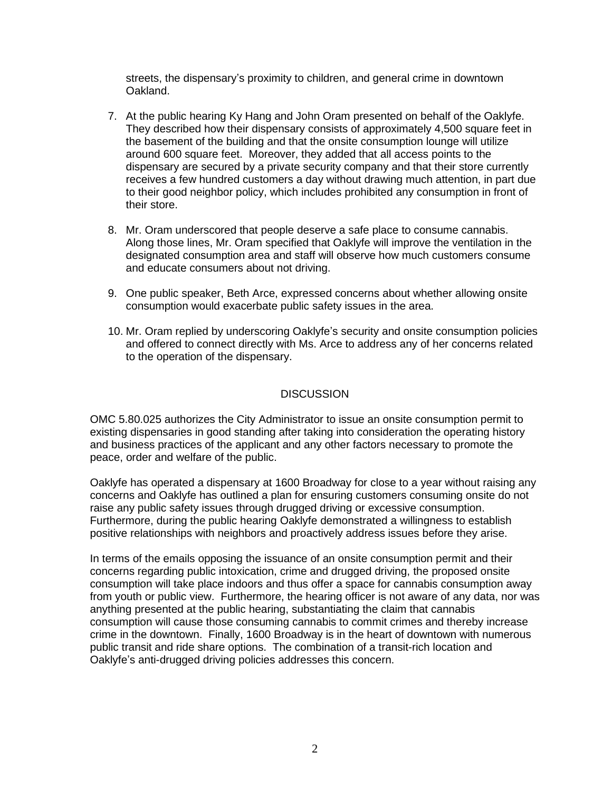streets, the dispensary's proximity to children, and general crime in downtown Oakland.

- 7. At the public hearing Ky Hang and John Oram presented on behalf of the Oaklyfe. They described how their dispensary consists of approximately 4,500 square feet in the basement of the building and that the onsite consumption lounge will utilize around 600 square feet. Moreover, they added that all access points to the dispensary are secured by a private security company and that their store currently receives a few hundred customers a day without drawing much attention, in part due to their good neighbor policy, which includes prohibited any consumption in front of their store.
- 8. Mr. Oram underscored that people deserve a safe place to consume cannabis. Along those lines, Mr. Oram specified that Oaklyfe will improve the ventilation in the designated consumption area and staff will observe how much customers consume and educate consumers about not driving.
- 9. One public speaker, Beth Arce, expressed concerns about whether allowing onsite consumption would exacerbate public safety issues in the area.
- 10. Mr. Oram replied by underscoring Oaklyfe's security and onsite consumption policies and offered to connect directly with Ms. Arce to address any of her concerns related to the operation of the dispensary.

## **DISCUSSION**

OMC 5.80.025 authorizes the City Administrator to issue an onsite consumption permit to existing dispensaries in good standing after taking into consideration the operating history and business practices of the applicant and any other factors necessary to promote the peace, order and welfare of the public.

Oaklyfe has operated a dispensary at 1600 Broadway for close to a year without raising any concerns and Oaklyfe has outlined a plan for ensuring customers consuming onsite do not raise any public safety issues through drugged driving or excessive consumption. Furthermore, during the public hearing Oaklyfe demonstrated a willingness to establish positive relationships with neighbors and proactively address issues before they arise.

In terms of the emails opposing the issuance of an onsite consumption permit and their concerns regarding public intoxication, crime and drugged driving, the proposed onsite consumption will take place indoors and thus offer a space for cannabis consumption away from youth or public view. Furthermore, the hearing officer is not aware of any data, nor was anything presented at the public hearing, substantiating the claim that cannabis consumption will cause those consuming cannabis to commit crimes and thereby increase crime in the downtown. Finally, 1600 Broadway is in the heart of downtown with numerous public transit and ride share options. The combination of a transit-rich location and Oaklyfe's anti-drugged driving policies addresses this concern.